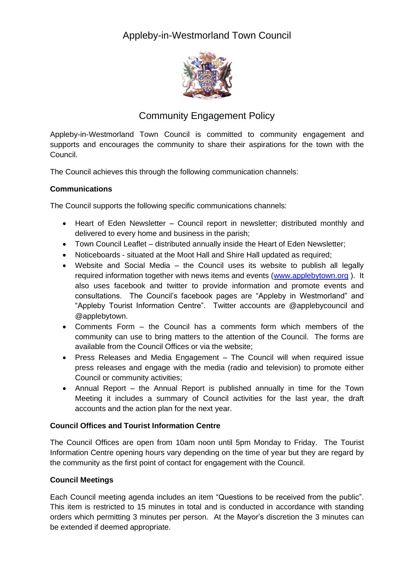# Appleby-in-Westmorland Town Council



## Community Engagement Policy

Appleby-in-Westmorland Town Council is committed to community engagement and supports and encourages the community to share their aspirations for the town with the Council.

The Council achieves this through the following communication channels:

#### **Communications**

The Council supports the following specific communications channels:

- Heart of Eden Newsletter Council report in newsletter; distributed monthly and delivered to every home and business in the parish;
- Town Council Leaflet distributed annually inside the Heart of Eden Newsletter;
- Noticeboards situated at the Moot Hall and Shire Hall updated as required;
- Website and Social Media the Council uses its website to publish all legally required information together with news items and events [\(www.applebytown.org](http://www.applebytown.org/) ). It also uses facebook and twitter to provide information and promote events and consultations. The Council's facebook pages are "Appleby in Westmorland" and "Appleby Tourist Information Centre". Twitter accounts are @applebycouncil and @applebytown.
- Comments Form the Council has a comments form which members of the community can use to bring matters to the attention of the Council. The forms are available from the Council Offices or via the website;
- Press Releases and Media Engagement The Council will when required issue press releases and engage with the media (radio and television) to promote either Council or community activities;
- Annual Report the Annual Report is published annually in time for the Town Meeting it includes a summary of Council activities for the last year, the draft accounts and the action plan for the next year.

#### **Council Offices and Tourist Information Centre**

The Council Offices are open from 10am noon until 5pm Monday to Friday. The Tourist Information Centre opening hours vary depending on the time of year but they are regard by the community as the first point of contact for engagement with the Council.

#### **Council Meetings**

Each Council meeting agenda includes an item "Questions to be received from the public". This item is restricted to 15 minutes in total and is conducted in accordance with standing orders which permitting 3 minutes per person. At the Mayor's discretion the 3 minutes can be extended if deemed appropriate.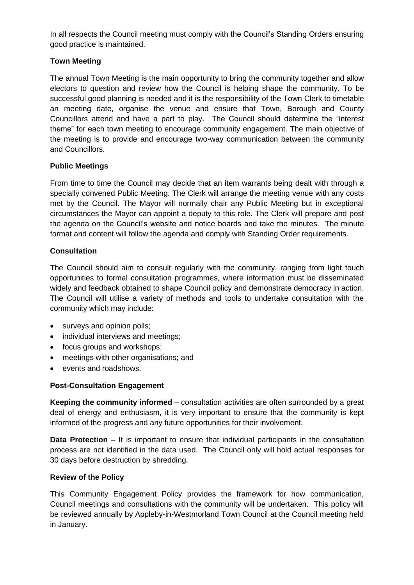In all respects the Council meeting must comply with the Council's Standing Orders ensuring good practice is maintained.

#### **Town Meeting**

The annual Town Meeting is the main opportunity to bring the community together and allow electors to question and review how the Council is helping shape the community. To be successful good planning is needed and it is the responsibility of the Town Clerk to timetable an meeting date, organise the venue and ensure that Town, Borough and County Councillors attend and have a part to play. The Council should determine the "interest theme" for each town meeting to encourage community engagement. The main objective of the meeting is to provide and encourage two-way communication between the community and Councillors.

#### **Public Meetings**

From time to time the Council may decide that an item warrants being dealt with through a specially convened Public Meeting. The Clerk will arrange the meeting venue with any costs met by the Council. The Mayor will normally chair any Public Meeting but in exceptional circumstances the Mayor can appoint a deputy to this role. The Clerk will prepare and post the agenda on the Council's website and notice boards and take the minutes. The minute format and content will follow the agenda and comply with Standing Order requirements.

#### **Consultation**

The Council should aim to consult regularly with the community, ranging from light touch opportunities to formal consultation programmes, where information must be disseminated widely and feedback obtained to shape Council policy and demonstrate democracy in action. The Council will utilise a variety of methods and tools to undertake consultation with the community which may include:

- surveys and opinion polls;
- individual interviews and meetings;
- focus groups and workshops;
- meetings with other organisations; and
- events and roadshows.

#### **Post-Consultation Engagement**

**Keeping the community informed** – consultation activities are often surrounded by a great deal of energy and enthusiasm, it is very important to ensure that the community is kept informed of the progress and any future opportunities for their involvement.

**Data Protection** – It is important to ensure that individual participants in the consultation process are not identified in the data used. The Council only will hold actual responses for 30 days before destruction by shredding.

#### **Review of the Policy**

This Community Engagement Policy provides the framework for how communication, Council meetings and consultations with the community will be undertaken. This policy will be reviewed annually by Appleby-in-Westmorland Town Council at the Council meeting held in January.